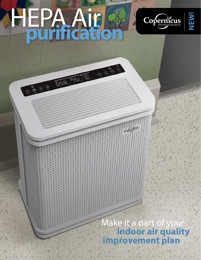# HEPA Air **purification**

OBO OF THE THE T

 $\begin{picture}(120,111){\line(1,0){155}} \put(120,111){\line(1,0){155}} \put(120,111){\line(1,0){155}} \put(120,111){\line(1,0){155}} \put(120,111){\line(1,0){155}} \put(120,111){\line(1,0){155}} \put(120,111){\line(1,0){155}} \put(120,111){\line(1,0){155}} \put(120,111){\line(1,0){155}} \put(120,111){\line(1,0){15$ 



**NEW!**

 Make it a part of your **indoor air quality improvement plan**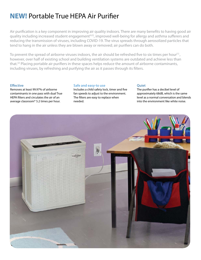# **NEW!** Portable True HEPA Air Purifier

Air purification is a key component in improving air quality indoors. There are many benefits to having good air quality including increased student engagement<sup>[4,5]</sup>, improved well-being for allergy and asthma sufferers and reducing the transmission of viruses, including COVID-19. The virus spreads through aerosolized particles that tend to hang in the air unless they are blown away or removed; air purifiers can do both.

To prevent the spread of airborne viruses indoors, the air should be refreshed five to six times per hour<sup>[1]</sup>, however, over half of existing school and building ventilation systems are outdated and achieve less than that.[2] Placing portable air purifiers in these spaces helps reduce the amount of airborne contaminants, including viruses, by refreshing and purifying the air as it passes through its filters.

# **Effective**

Removes at least 99.97% of airborne contaminants in one pass with dual True HEPA filters and circulates the air of an average classroom\* 5.2 times per hour.

## **Safe and easy-to use**

Includes a child safety lock, timer and five fan speeds to adjust to the environment. The filters are easy to replace when needed.

## **Quiet**

The purifier has a decibel level of approximately 68dB, which is the same level as a normal conversation and blends into the environment like white noise.

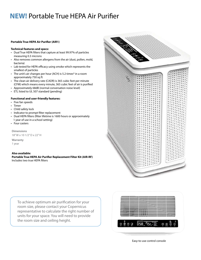# **NEW!** Portable True HEPA Air Purifier

#### **Portable True HEPA Air Purifier (AIR1)**

#### **Technical features and specs:**

- Dual True HEPA filters that capture at least 99.97% of particles measuring 0.3 microns
- Also removes common allergens from the air (dust, pollen, mold, bacteria)
- Lab tested for HEPA efficacy using smoke which represents the smallest of particles
- The unit's air changes per hour (ACH) is 5.2 times\* in a room approximately 750 sq ft
- The clean air delivery rate (CADR) is 365 cubic feet per minute (CFM) which means every minute, 365 cubic feet of air is purified
- • Approximately 68dB (normal conversation noise level)
- • ETL listed to UL 507 standard (pending)

## **Functional and user-friendly features:**

- Five fan speeds
- • Timer
- Child safety lock
- Indicator to prompt filter replacement
- Dual HEPA filters (filter lifetime is 1600 hours or approximately 1 year of use in a school setting)
- Four casters

**Dimensions**  18" W x 10 1/2" D x 22" H

**Warranty** 1 year

**Also available: Portable True HEPA Air Purifier Replacement Filter Kit (AIR-RF)** Includes two true HEPA filters



To achieve optimum air purification for your room size, please contact your Copernicus representative to calculate the right number of units for your space. You will need to provide the room size and ceiling height.



Easy-to-use control console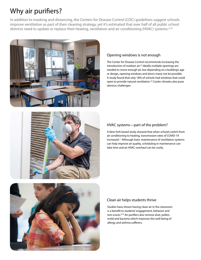# Why air purifiers?

In addition to masking and distancing, the Centers for Disease Control (CDC) guidelines suggest schools improve ventilation as part of their cleaning strategy, yet it's estimated that over half of all public school districts need to update or replace their heating, ventilation and air conditioning (HVAC) systems.<sup>[2,3]</sup>



# Opening windows is not enough

The Center for Disease Control recommends increasing the introduction of outdoor air.<sup>[3]</sup> Ideally multiple openings are needed to move enough air, but depending on a building's age or design, opening windows and doors many not be possible. A study found that only 18% of schools had windows that could open to provide natural ventilation.<sup>[2]</sup> Cooler climates also pose obvious challenges.



# HVAC systems—part of the problem?

A New York based study showed that when schools switch from air conditioning to heating, transmission rates of COVID-19 increased.[2] Although basic maintenance of ventilation systems can help improve air quality, scheduling in maintenance can take time and an HVAC overhaul can be costly.



# Clean air helps students thrive

Studies have shown having clean air in the classroom is a benefit to students' engagement, behavior and test scores.<sup>[4,5]</sup> Air purifiers also remove dust, pollen, mold and bacteria which improves the well-being of allergy and asthma sufferers.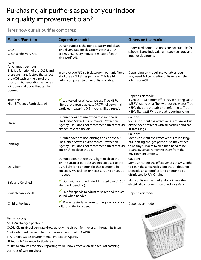# Purchasing air purifiers as part of your indoor air quality improvement plan?

Here's how our air purifier compares:

| <b>Feature/Function</b>                                                                                                                                                                                                            | <b>Copernicus model</b>                                                                                                                                                                                                | <b>Others on the market</b>                                                                                                                                                                                                  |
|------------------------------------------------------------------------------------------------------------------------------------------------------------------------------------------------------------------------------------|------------------------------------------------------------------------------------------------------------------------------------------------------------------------------------------------------------------------|------------------------------------------------------------------------------------------------------------------------------------------------------------------------------------------------------------------------------|
| <b>CADR</b><br>Clean air delivery rate                                                                                                                                                                                             | Our air purifier is the right capacity and clean<br>air delivery rate for classrooms with a CADR<br>of 365 CFM (every minute, 365 cubic feet of<br>air is purified).                                                   | Undersized home-use units are not suitable for<br>schools. Large industrial units are too large and<br>loud for classrooms.                                                                                                  |
| <b>ACH</b><br>Air changes per hour<br>This is a function of the CADR and<br>there are many factors that affect<br>the ACH such as the size of the<br>room, HVAC ventilation as well as<br>windows and doors that can be<br>opened. | In an average 750 sq ft classroom, our unit filters<br>all of the air 5.2 times per hour. This is a high<br>rating compared to other units available.                                                                  | Depending on model and variables, you<br>may need 3-5 competitor units to reach the<br>adequate ACH.                                                                                                                         |
| <b>True HEPA</b><br>High Efficiency Particulate Air                                                                                                                                                                                | Lab tested for efficacy. We use True HEPA<br>filters that capture at least 99.97% of very small<br>particles measuring 0.3 microns (like viruses).                                                                     | Depends on model.<br>If you see a Minimum Efficiency reporting value<br>(MERV) rating on a filter without the words True<br>HEPA, they are probably not referring to True<br>HEPA filters. MERV is a broad reporting value.  |
| Ozone                                                                                                                                                                                                                              | Our unit does not use ozone to clean the air.<br>The United States Environmental Protection<br>Agency (EPA) does not recommend units that use<br>ozone <sup>[6]</sup> to clean the air.                                | Caution:<br>Some units tout the effectiveness of ozone but<br>ozone does not react with all particles and can<br>irritate lungs.                                                                                             |
| lonizing                                                                                                                                                                                                                           | Our unit does not use ionizing to clean the air.<br>The United States Environmental Protection<br>Agency (EPA) does not recommend units that use<br>ionizing <sup>[6]</sup> to clean the air.                          | Caution:<br>Some units tout the effectiveness of ionizing,<br>but ionizing charges particles so they attach<br>to nearby surfaces (which then need to be<br>cleaned), versus removing them from the<br>environment entirely. |
| UV-C light                                                                                                                                                                                                                         | Our unit does not use UV-C light to clean the<br>air. The suspect particles are not exposed to the<br>UV-C light long enough for that feature to be<br>effective. We feel it is unnecessary and drives up<br>the cost. | Caution:<br>Some units tout the effectiveness of UV-C light<br>to clean the air particles, but the air does not<br>sit inside an air purifier long enough to be<br>disinfected by UV-C light.                                |
| Safe and Certified                                                                                                                                                                                                                 | Our unit is certified safe. ETL listed to a UL 507<br>Standard (pending).                                                                                                                                              | Many units on the market do not have their<br>electrical components certified for safety.                                                                                                                                    |
| Variable fan speeds                                                                                                                                                                                                                | $\checkmark$ Five fan speeds to adjust to space and reduce<br>sound when needed.                                                                                                                                       | Depends on model.                                                                                                                                                                                                            |
| Child safety lock                                                                                                                                                                                                                  | Prevents students from turning it on or off or<br>adjusting the fan speed.                                                                                                                                             | Depends on model.                                                                                                                                                                                                            |

# **Terminology:**

ACH: Air changes per hour

CADR: Clean air delivery rate (how quickly the air purifier moves air through its filters)

CFM: Cubic feet per minute (the measurement used in CADR)

EPA: United States Environmental Protection Agency

HEPA: High Efficiency Particulate Air

MERV: Minimum Efficiency Reporting Value (how effective an air filter is at catching particles of varying sizes)